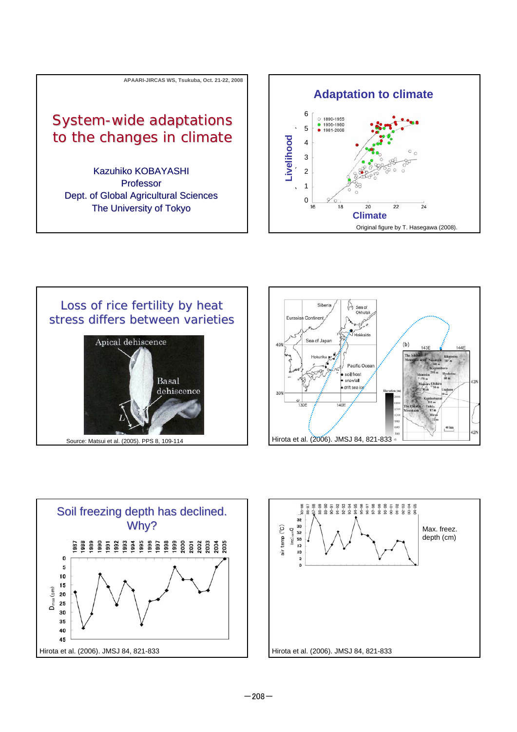







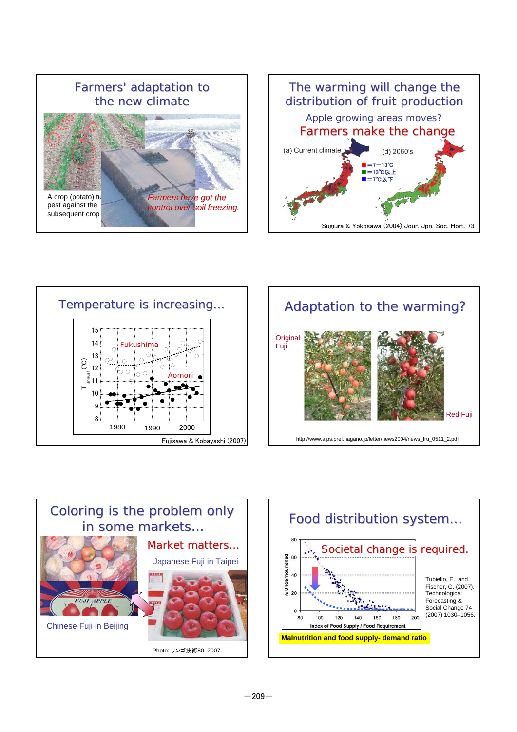